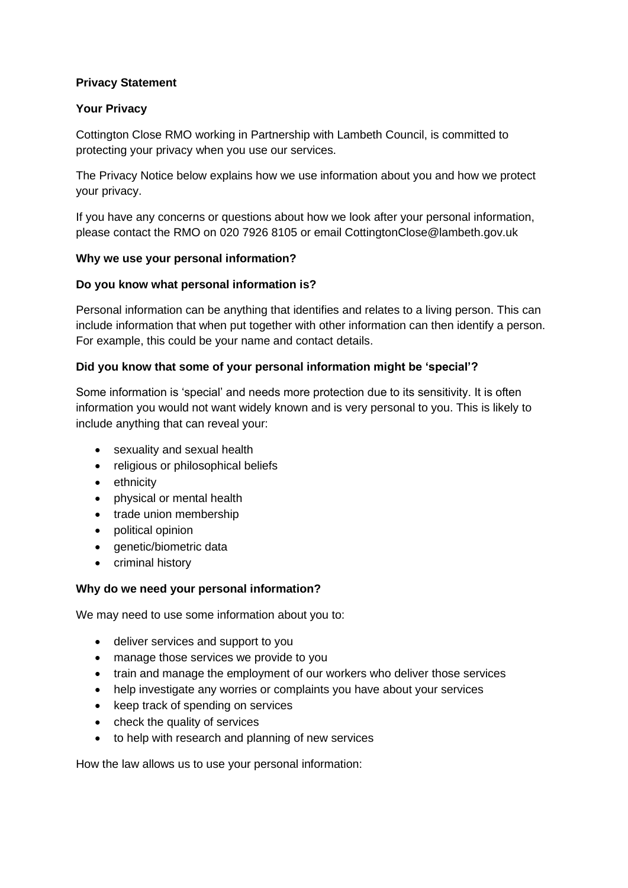# **Privacy Statement**

# **Your Privacy**

Cottington Close RMO working in Partnership with Lambeth Council, is committed to protecting your privacy when you use our services.

The Privacy Notice below explains how we use information about you and how we protect your privacy.

If you have any concerns or questions about how we look after your personal information, please contact the RMO on 020 7926 8105 or email CottingtonClose@lambeth.gov.uk

#### **Why we use your personal information?**

#### **Do you know what personal information is?**

Personal information can be anything that identifies and relates to a living person. This can include information that when put together with other information can then identify a person. For example, this could be your name and contact details.

#### **Did you know that some of your personal information might be 'special'?**

Some information is 'special' and needs more protection due to its sensitivity. It is often information you would not want widely known and is very personal to you. This is likely to include anything that can reveal your:

- sexuality and sexual health
- religious or philosophical beliefs
- ethnicity
- physical or mental health
- trade union membership
- political opinion
- genetic/biometric data
- criminal history

#### **Why do we need your personal information?**

We may need to use some information about you to:

- deliver services and support to you
- manage those services we provide to you
- train and manage the employment of our workers who deliver those services
- help investigate any worries or complaints you have about your services
- keep track of spending on services
- check the quality of services
- to help with research and planning of new services

How the law allows us to use your personal information: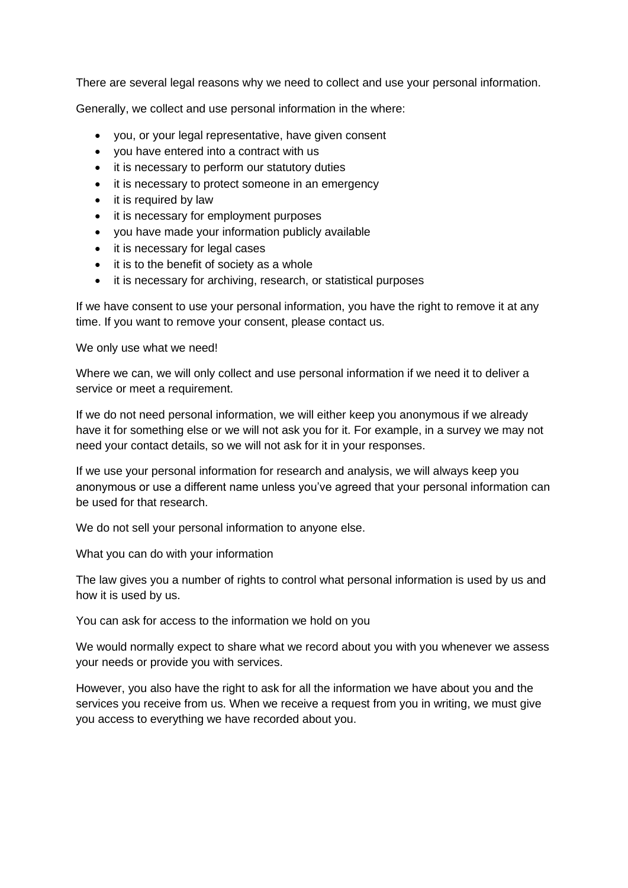There are several legal reasons why we need to collect and use your personal information.

Generally, we collect and use personal information in the where:

- you, or your legal representative, have given consent
- you have entered into a contract with us
- it is necessary to perform our statutory duties
- it is necessary to protect someone in an emergency
- it is required by law
- it is necessary for employment purposes
- you have made your information publicly available
- it is necessary for legal cases
- it is to the benefit of society as a whole
- it is necessary for archiving, research, or statistical purposes

If we have consent to use your personal information, you have the right to remove it at any time. If you want to remove your consent, please contact us.

We only use what we need!

Where we can, we will only collect and use personal information if we need it to deliver a service or meet a requirement.

If we do not need personal information, we will either keep you anonymous if we already have it for something else or we will not ask you for it. For example, in a survey we may not need your contact details, so we will not ask for it in your responses.

If we use your personal information for research and analysis, we will always keep you anonymous or use a different name unless you've agreed that your personal information can be used for that research.

We do not sell your personal information to anyone else.

What you can do with your information

The law gives you a number of rights to control what personal information is used by us and how it is used by us.

You can ask for access to the information we hold on you

We would normally expect to share what we record about you with you whenever we assess your needs or provide you with services.

However, you also have the right to ask for all the information we have about you and the services you receive from us. When we receive a request from you in writing, we must give you access to everything we have recorded about you.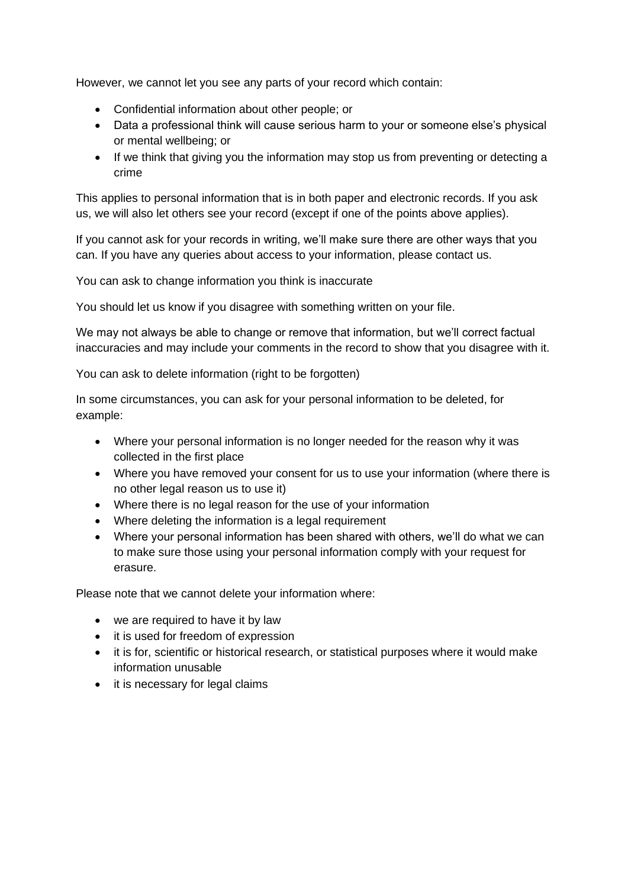However, we cannot let you see any parts of your record which contain:

- Confidential information about other people; or
- Data a professional think will cause serious harm to your or someone else's physical or mental wellbeing; or
- If we think that giving you the information may stop us from preventing or detecting a crime

This applies to personal information that is in both paper and electronic records. If you ask us, we will also let others see your record (except if one of the points above applies).

If you cannot ask for your records in writing, we'll make sure there are other ways that you can. If you have any queries about access to your information, please contact us.

You can ask to change information you think is inaccurate

You should let us know if you disagree with something written on your file.

We may not always be able to change or remove that information, but we'll correct factual inaccuracies and may include your comments in the record to show that you disagree with it.

You can ask to delete information (right to be forgotten)

In some circumstances, you can ask for your personal information to be deleted, for example:

- Where your personal information is no longer needed for the reason why it was collected in the first place
- Where you have removed your consent for us to use your information (where there is no other legal reason us to use it)
- Where there is no legal reason for the use of your information
- Where deleting the information is a legal requirement
- Where your personal information has been shared with others, we'll do what we can to make sure those using your personal information comply with your request for erasure.

Please note that we cannot delete your information where:

- we are required to have it by law
- it is used for freedom of expression
- it is for, scientific or historical research, or statistical purposes where it would make information unusable
- it is necessary for legal claims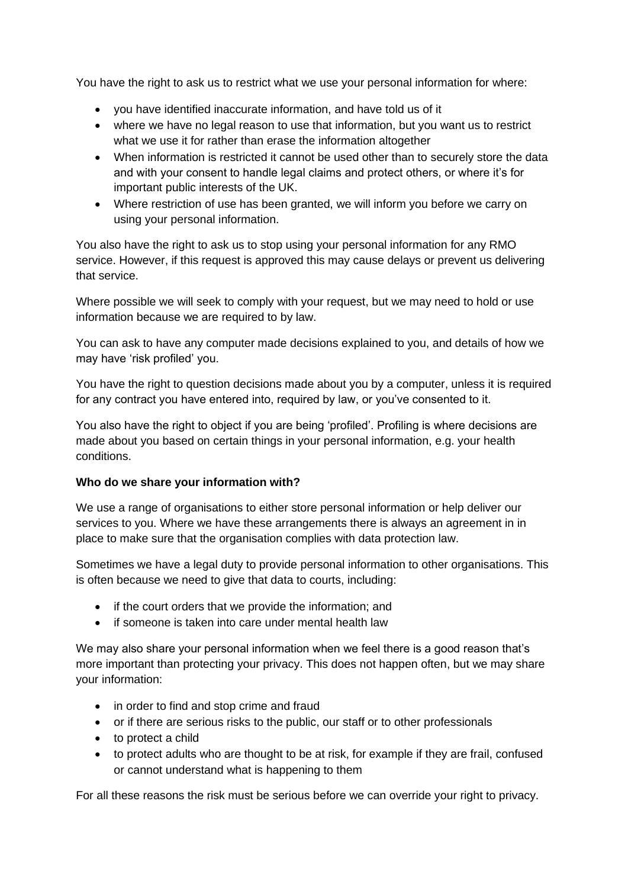You have the right to ask us to restrict what we use your personal information for where:

- you have identified inaccurate information, and have told us of it
- where we have no legal reason to use that information, but you want us to restrict what we use it for rather than erase the information altogether
- When information is restricted it cannot be used other than to securely store the data and with your consent to handle legal claims and protect others, or where it's for important public interests of the UK.
- Where restriction of use has been granted, we will inform you before we carry on using your personal information.

You also have the right to ask us to stop using your personal information for any RMO service. However, if this request is approved this may cause delays or prevent us delivering that service.

Where possible we will seek to comply with your request, but we may need to hold or use information because we are required to by law.

You can ask to have any computer made decisions explained to you, and details of how we may have 'risk profiled' you.

You have the right to question decisions made about you by a computer, unless it is required for any contract you have entered into, required by law, or you've consented to it.

You also have the right to object if you are being 'profiled'. Profiling is where decisions are made about you based on certain things in your personal information, e.g. your health conditions.

# **Who do we share your information with?**

We use a range of organisations to either store personal information or help deliver our services to you. Where we have these arrangements there is always an agreement in in place to make sure that the organisation complies with data protection law.

Sometimes we have a legal duty to provide personal information to other organisations. This is often because we need to give that data to courts, including:

- if the court orders that we provide the information; and
- if someone is taken into care under mental health law

We may also share your personal information when we feel there is a good reason that's more important than protecting your privacy. This does not happen often, but we may share your information:

- in order to find and stop crime and fraud
- or if there are serious risks to the public, our staff or to other professionals
- to protect a child
- to protect adults who are thought to be at risk, for example if they are frail, confused or cannot understand what is happening to them

For all these reasons the risk must be serious before we can override your right to privacy.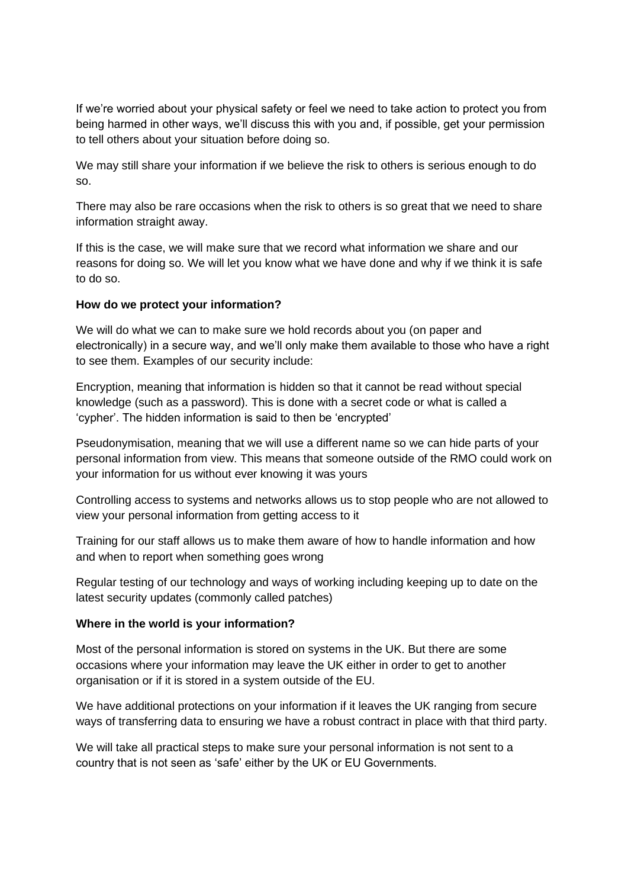If we're worried about your physical safety or feel we need to take action to protect you from being harmed in other ways, we'll discuss this with you and, if possible, get your permission to tell others about your situation before doing so.

We may still share your information if we believe the risk to others is serious enough to do so.

There may also be rare occasions when the risk to others is so great that we need to share information straight away.

If this is the case, we will make sure that we record what information we share and our reasons for doing so. We will let you know what we have done and why if we think it is safe to do so.

#### **How do we protect your information?**

We will do what we can to make sure we hold records about you (on paper and electronically) in a secure way, and we'll only make them available to those who have a right to see them. Examples of our security include:

Encryption, meaning that information is hidden so that it cannot be read without special knowledge (such as a password). This is done with a secret code or what is called a 'cypher'. The hidden information is said to then be 'encrypted'

Pseudonymisation, meaning that we will use a different name so we can hide parts of your personal information from view. This means that someone outside of the RMO could work on your information for us without ever knowing it was yours

Controlling access to systems and networks allows us to stop people who are not allowed to view your personal information from getting access to it

Training for our staff allows us to make them aware of how to handle information and how and when to report when something goes wrong

Regular testing of our technology and ways of working including keeping up to date on the latest security updates (commonly called patches)

#### **Where in the world is your information?**

Most of the personal information is stored on systems in the UK. But there are some occasions where your information may leave the UK either in order to get to another organisation or if it is stored in a system outside of the EU.

We have additional protections on your information if it leaves the UK ranging from secure ways of transferring data to ensuring we have a robust contract in place with that third party.

We will take all practical steps to make sure your personal information is not sent to a country that is not seen as 'safe' either by the UK or EU Governments.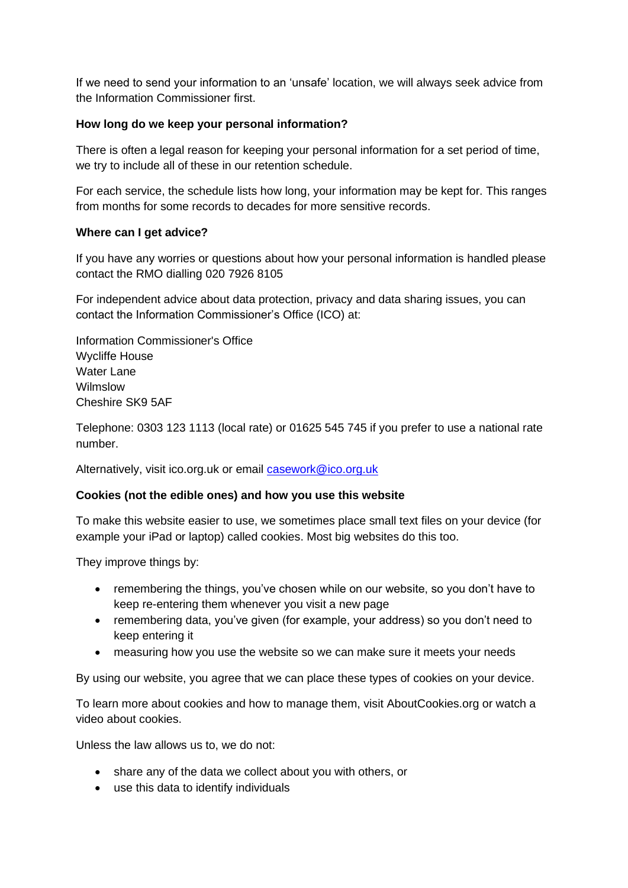If we need to send your information to an 'unsafe' location, we will always seek advice from the Information Commissioner first.

# **How long do we keep your personal information?**

There is often a legal reason for keeping your personal information for a set period of time, we try to include all of these in our retention schedule.

For each service, the schedule lists how long, your information may be kept for. This ranges from months for some records to decades for more sensitive records.

#### **Where can I get advice?**

If you have any worries or questions about how your personal information is handled please contact the RMO dialling 020 7926 8105

For independent advice about data protection, privacy and data sharing issues, you can contact the Information Commissioner's Office (ICO) at:

Information Commissioner's Office Wycliffe House Water Lane Wilmslow Cheshire SK9 5AF

Telephone: 0303 123 1113 (local rate) or 01625 545 745 if you prefer to use a national rate number.

Alternatively, visit ico.org.uk or email [casework@ico.org.uk](mailto:casework@ico.org.uk)

#### **Cookies (not the edible ones) and how you use this website**

To make this website easier to use, we sometimes place small text files on your device (for example your iPad or laptop) called cookies. Most big websites do this too.

They improve things by:

- remembering the things, you've chosen while on our website, so you don't have to keep re-entering them whenever you visit a new page
- remembering data, you've given (for example, your address) so you don't need to keep entering it
- measuring how you use the website so we can make sure it meets your needs

By using our website, you agree that we can place these types of cookies on your device.

To learn more about cookies and how to manage them, visit AboutCookies.org or watch a video about cookies.

Unless the law allows us to, we do not:

- share any of the data we collect about you with others, or
- use this data to identify individuals